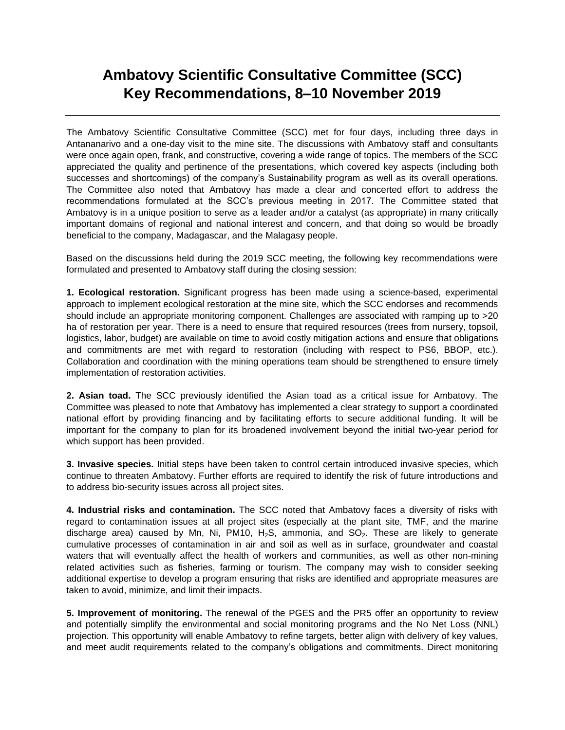## **Ambatovy Scientific Consultative Committee (SCC) Key Recommendations, 8–10 November 2019**

The Ambatovy Scientific Consultative Committee (SCC) met for four days, including three days in Antananarivo and a one-day visit to the mine site. The discussions with Ambatovy staff and consultants were once again open, frank, and constructive, covering a wide range of topics. The members of the SCC appreciated the quality and pertinence of the presentations, which covered key aspects (including both successes and shortcomings) of the company's Sustainability program as well as its overall operations. The Committee also noted that Ambatovy has made a clear and concerted effort to address the recommendations formulated at the SCC's previous meeting in 2017. The Committee stated that Ambatovy is in a unique position to serve as a leader and/or a catalyst (as appropriate) in many critically important domains of regional and national interest and concern, and that doing so would be broadly beneficial to the company, Madagascar, and the Malagasy people.

Based on the discussions held during the 2019 SCC meeting, the following key recommendations were formulated and presented to Ambatovy staff during the closing session:

**1. Ecological restoration.** Significant progress has been made using a science-based, experimental approach to implement ecological restoration at the mine site, which the SCC endorses and recommends should include an appropriate monitoring component. Challenges are associated with ramping up to >20 ha of restoration per year. There is a need to ensure that required resources (trees from nursery, topsoil, logistics, labor, budget) are available on time to avoid costly mitigation actions and ensure that obligations and commitments are met with regard to restoration (including with respect to PS6, BBOP, etc.). Collaboration and coordination with the mining operations team should be strengthened to ensure timely implementation of restoration activities.

**2. Asian toad.** The SCC previously identified the Asian toad as a critical issue for Ambatovy. The Committee was pleased to note that Ambatovy has implemented a clear strategy to support a coordinated national effort by providing financing and by facilitating efforts to secure additional funding. It will be important for the company to plan for its broadened involvement beyond the initial two-year period for which support has been provided.

**3. Invasive species.** Initial steps have been taken to control certain introduced invasive species, which continue to threaten Ambatovy. Further efforts are required to identify the risk of future introductions and to address bio-security issues across all project sites.

**4. Industrial risks and contamination.** The SCC noted that Ambatovy faces a diversity of risks with regard to contamination issues at all project sites (especially at the plant site, TMF, and the marine discharge area) caused by Mn, Ni, PM10, H<sub>2</sub>S, ammonia, and SO<sub>2</sub>. These are likely to generate cumulative processes of contamination in air and soil as well as in surface, groundwater and coastal waters that will eventually affect the health of workers and communities, as well as other non-mining related activities such as fisheries, farming or tourism. The company may wish to consider seeking additional expertise to develop a program ensuring that risks are identified and appropriate measures are taken to avoid, minimize, and limit their impacts.

**5. Improvement of monitoring.** The renewal of the PGES and the PR5 offer an opportunity to review and potentially simplify the environmental and social monitoring programs and the No Net Loss (NNL) projection. This opportunity will enable Ambatovy to refine targets, better align with delivery of key values, and meet audit requirements related to the company's obligations and commitments. Direct monitoring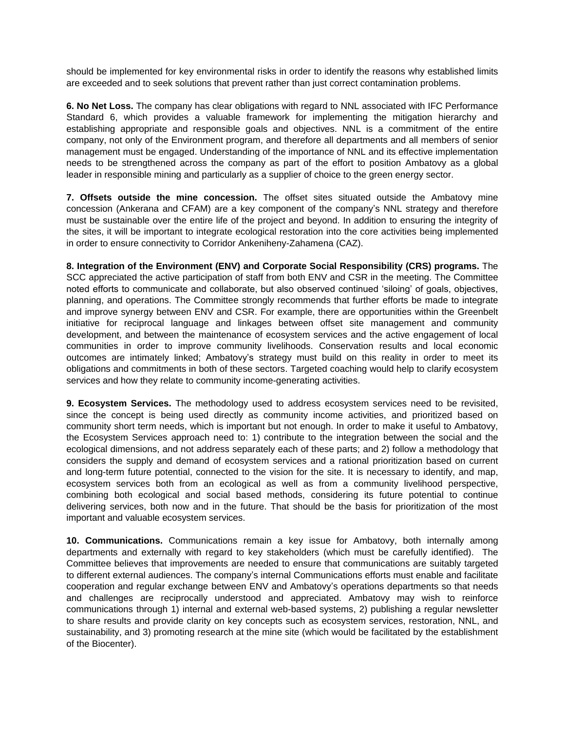should be implemented for key environmental risks in order to identify the reasons why established limits are exceeded and to seek solutions that prevent rather than just correct contamination problems.

**6. No Net Loss.** The company has clear obligations with regard to NNL associated with IFC Performance Standard 6, which provides a valuable framework for implementing the mitigation hierarchy and establishing appropriate and responsible goals and objectives. NNL is a commitment of the entire company, not only of the Environment program, and therefore all departments and all members of senior management must be engaged. Understanding of the importance of NNL and its effective implementation needs to be strengthened across the company as part of the effort to position Ambatovy as a global leader in responsible mining and particularly as a supplier of choice to the green energy sector.

**7. Offsets outside the mine concession.** The offset sites situated outside the Ambatovy mine concession (Ankerana and CFAM) are a key component of the company's NNL strategy and therefore must be sustainable over the entire life of the project and beyond. In addition to ensuring the integrity of the sites, it will be important to integrate ecological restoration into the core activities being implemented in order to ensure connectivity to Corridor Ankeniheny-Zahamena (CAZ).

**8. Integration of the Environment (ENV) and Corporate Social Responsibility (CRS) programs.** The SCC appreciated the active participation of staff from both ENV and CSR in the meeting. The Committee noted efforts to communicate and collaborate, but also observed continued 'siloing' of goals, objectives, planning, and operations. The Committee strongly recommends that further efforts be made to integrate and improve synergy between ENV and CSR. For example, there are opportunities within the Greenbelt initiative for reciprocal language and linkages between offset site management and community development, and between the maintenance of ecosystem services and the active engagement of local communities in order to improve community livelihoods. Conservation results and local economic outcomes are intimately linked; Ambatovy's strategy must build on this reality in order to meet its obligations and commitments in both of these sectors. Targeted coaching would help to clarify ecosystem services and how they relate to community income-generating activities.

**9. Ecosystem Services.** The methodology used to address ecosystem services need to be revisited, since the concept is being used directly as community income activities, and prioritized based on community short term needs, which is important but not enough. In order to make it useful to Ambatovy, the Ecosystem Services approach need to: 1) contribute to the integration between the social and the ecological dimensions, and not address separately each of these parts; and 2) follow a methodology that considers the supply and demand of ecosystem services and a rational prioritization based on current and long-term future potential, connected to the vision for the site. It is necessary to identify, and map, ecosystem services both from an ecological as well as from a community livelihood perspective, combining both ecological and social based methods, considering its future potential to continue delivering services, both now and in the future. That should be the basis for prioritization of the most important and valuable ecosystem services.

**10. Communications.** Communications remain a key issue for Ambatovy, both internally among departments and externally with regard to key stakeholders (which must be carefully identified). The Committee believes that improvements are needed to ensure that communications are suitably targeted to different external audiences. The company's internal Communications efforts must enable and facilitate cooperation and regular exchange between ENV and Ambatovy's operations departments so that needs and challenges are reciprocally understood and appreciated. Ambatovy may wish to reinforce communications through 1) internal and external web-based systems, 2) publishing a regular newsletter to share results and provide clarity on key concepts such as ecosystem services, restoration, NNL, and sustainability, and 3) promoting research at the mine site (which would be facilitated by the establishment of the Biocenter).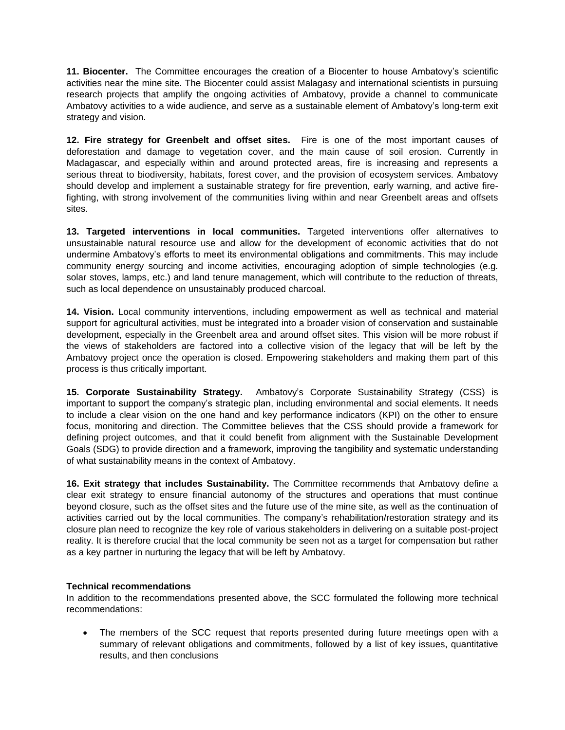**11. Biocenter.** The Committee encourages the creation of a Biocenter to house Ambatovy's scientific activities near the mine site. The Biocenter could assist Malagasy and international scientists in pursuing research projects that amplify the ongoing activities of Ambatovy, provide a channel to communicate Ambatovy activities to a wide audience, and serve as a sustainable element of Ambatovy's long-term exit strategy and vision.

**12. Fire strategy for Greenbelt and offset sites.** Fire is one of the most important causes of deforestation and damage to vegetation cover, and the main cause of soil erosion. Currently in Madagascar, and especially within and around protected areas, fire is increasing and represents a serious threat to biodiversity, habitats, forest cover, and the provision of ecosystem services. Ambatovy should develop and implement a sustainable strategy for fire prevention, early warning, and active firefighting, with strong involvement of the communities living within and near Greenbelt areas and offsets sites.

**13. Targeted interventions in local communities.** Targeted interventions offer alternatives to unsustainable natural resource use and allow for the development of economic activities that do not undermine Ambatovy's efforts to meet its environmental obligations and commitments. This may include community energy sourcing and income activities, encouraging adoption of simple technologies (e.g. solar stoves, lamps, etc.) and land tenure management, which will contribute to the reduction of threats, such as local dependence on unsustainably produced charcoal.

**14. Vision.** Local community interventions, including empowerment as well as technical and material support for agricultural activities, must be integrated into a broader vision of conservation and sustainable development, especially in the Greenbelt area and around offset sites. This vision will be more robust if the views of stakeholders are factored into a collective vision of the legacy that will be left by the Ambatovy project once the operation is closed. Empowering stakeholders and making them part of this process is thus critically important.

**15. Corporate Sustainability Strategy.** Ambatovy's Corporate Sustainability Strategy (CSS) is important to support the company's strategic plan, including environmental and social elements. It needs to include a clear vision on the one hand and key performance indicators (KPI) on the other to ensure focus, monitoring and direction. The Committee believes that the CSS should provide a framework for defining project outcomes, and that it could benefit from alignment with the Sustainable Development Goals (SDG) to provide direction and a framework, improving the tangibility and systematic understanding of what sustainability means in the context of Ambatovy.

**16. Exit strategy that includes Sustainability.** The Committee recommends that Ambatovy define a clear exit strategy to ensure financial autonomy of the structures and operations that must continue beyond closure, such as the offset sites and the future use of the mine site, as well as the continuation of activities carried out by the local communities. The company's rehabilitation/restoration strategy and its closure plan need to recognize the key role of various stakeholders in delivering on a suitable post-project reality. It is therefore crucial that the local community be seen not as a target for compensation but rather as a key partner in nurturing the legacy that will be left by Ambatovy.

## **Technical recommendations**

In addition to the recommendations presented above, the SCC formulated the following more technical recommendations:

 The members of the SCC request that reports presented during future meetings open with a summary of relevant obligations and commitments, followed by a list of key issues, quantitative results, and then conclusions